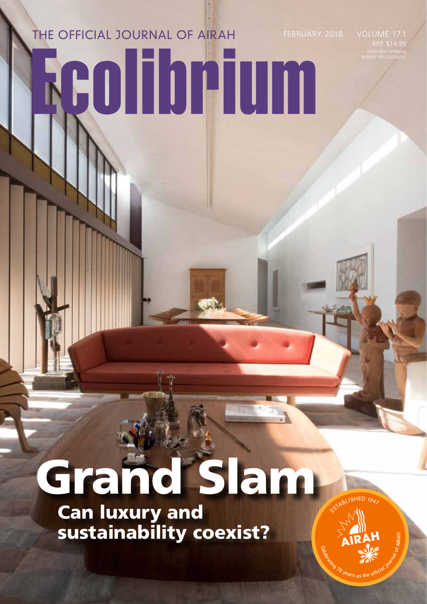## FEBRUARY 2018 · VOLUME 17.1 Ecolibrium THE OFFICIAL JOURNAL OF AIRAH

# Grand Slam

 Can luxury and sustainability coexist? **CAIRAH** ESTA<sup>N</sup>

SHED  $194$ 

NUMBER PP352532/00001